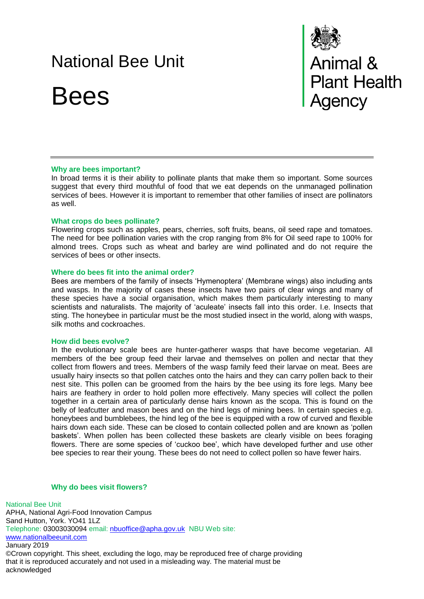# National Bee Unit

Bees



## **Why are bees important?**

In broad terms it is their ability to pollinate plants that make them so important. Some sources suggest that every third mouthful of food that we eat depends on the unmanaged pollination services of bees. However it is important to remember that other families of insect are pollinators as well.

## **What crops do bees pollinate?**

Flowering crops such as apples, pears, cherries, soft fruits, beans, oil seed rape and tomatoes. The need for bee pollination varies with the crop ranging from 8% for Oil seed rape to 100% for almond trees. Crops such as wheat and barley are wind pollinated and do not require the services of bees or other insects.

### **Where do bees fit into the animal order?**

Bees are members of the family of insects 'Hymenoptera' (Membrane wings) also including ants and wasps. In the majority of cases these insects have two pairs of clear wings and many of these species have a social organisation, which makes them particularly interesting to many scientists and naturalists. The majority of 'aculeate' insects fall into this order. I.e. Insects that sting. The honeybee in particular must be the most studied insect in the world, along with wasps, silk moths and cockroaches.

#### **How did bees evolve?**

In the evolutionary scale bees are hunter-gatherer wasps that have become vegetarian. All members of the bee group feed their larvae and themselves on pollen and nectar that they collect from flowers and trees. Members of the wasp family feed their larvae on meat. Bees are usually hairy insects so that pollen catches onto the hairs and they can carry pollen back to their nest site. This pollen can be groomed from the hairs by the bee using its fore legs. Many bee hairs are feathery in order to hold pollen more effectively. Many species will collect the pollen together in a certain area of particularly dense hairs known as the scopa. This is found on the belly of leafcutter and mason bees and on the hind legs of mining bees. In certain species e.g. honeybees and bumblebees, the hind leg of the bee is equipped with a row of curved and flexible hairs down each side. These can be closed to contain collected pollen and are known as 'pollen baskets'. When pollen has been collected these baskets are clearly visible on bees foraging flowers. There are some species of 'cuckoo bee', which have developed further and use other bee species to rear their young. These bees do not need to collect pollen so have fewer hairs.

# **Why do bees visit flowers?**

National Bee Unit APHA, National Agri-Food Innovation Campus Sand Hutton, York. YO41 1LZ Telephone: 03003030094 email: [nbuoffice@apha.gov.uk](mailto:nbuoffice@apha.gov.uk) NBU Web site: [www.nationalbeeunit.com](http://www.nationalbeeunit.com/) January 2019 ©Crown copyright. This sheet, excluding the logo, may be reproduced free of charge providing that it is reproduced accurately and not used in a misleading way. The material must be acknowledged